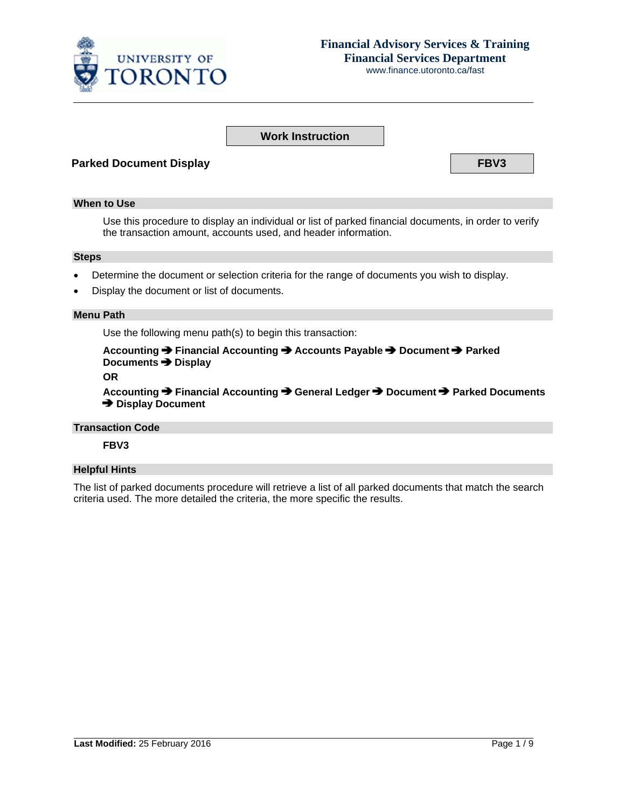

# **Financial Advisory Services & Training Financial Services Department**

www.finan ce.utoronto.ca /fast

## **Work Instruction**

## **Parked Document Display**

## **When to Use**

Use this procedure to display an individual or list of parked financial documents, in order to verify the transaction amount, accounts used, and header information.

#### **Steps**

- Determine the document or selection criteria for the range of documents you wish to display.
- Display the document or list of documents.

#### **Menu Path**

Use the following menu path(s) to begin this transaction:

**Acc counting Financial Ac ccounting Accounts P Payable Do ocument P Parked Do cuments Display** 

**OR**

**Acc Rcounting Financial Ac ccounting General Led dger Docu ument Par rked Docume ents Display Doc ument** 

#### **Transact ion Code**

**FBV V3** 

#### **Helpful H Hints**

The list of parked documents procedure will retrieve a list of all parked documents that match the search criteria used. The more detailed the criteria, the more specific the results.

**FBV3**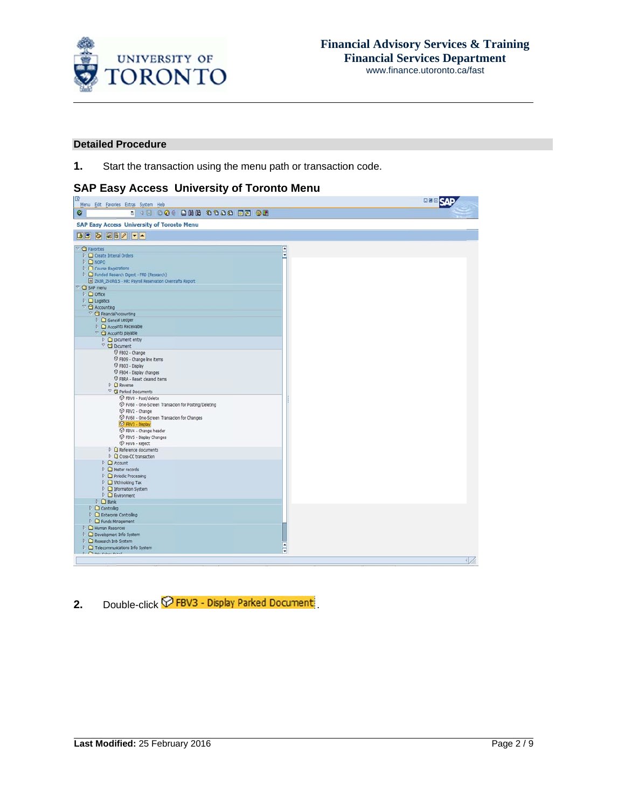

## **Financial Advisory Services & Training Financial Services Department** www.finance.utoronto.ca/fast

## **Detailed Procedure**

 $1.$ Start the transaction using the menu path or transaction code.

# **SAP Easy Access University of Toronto Menu**

| <b>IG</b><br>Menu Edit Favorites Extras System Help                                                                                                                                                                                                                                                                                                                                                                                                                                                                                                                                                                                                                                                                                                                                                                                                                                                                                                                                                                                                                                                                                                                                                                                                                                                                                                                                                                                                                                                                                                | 日回回 |
|----------------------------------------------------------------------------------------------------------------------------------------------------------------------------------------------------------------------------------------------------------------------------------------------------------------------------------------------------------------------------------------------------------------------------------------------------------------------------------------------------------------------------------------------------------------------------------------------------------------------------------------------------------------------------------------------------------------------------------------------------------------------------------------------------------------------------------------------------------------------------------------------------------------------------------------------------------------------------------------------------------------------------------------------------------------------------------------------------------------------------------------------------------------------------------------------------------------------------------------------------------------------------------------------------------------------------------------------------------------------------------------------------------------------------------------------------------------------------------------------------------------------------------------------------|-----|
| ø                                                                                                                                                                                                                                                                                                                                                                                                                                                                                                                                                                                                                                                                                                                                                                                                                                                                                                                                                                                                                                                                                                                                                                                                                                                                                                                                                                                                                                                                                                                                                  |     |
| <b>SAP Easy Access University of Toronto Menu</b>                                                                                                                                                                                                                                                                                                                                                                                                                                                                                                                                                                                                                                                                                                                                                                                                                                                                                                                                                                                                                                                                                                                                                                                                                                                                                                                                                                                                                                                                                                  |     |
|                                                                                                                                                                                                                                                                                                                                                                                                                                                                                                                                                                                                                                                                                                                                                                                                                                                                                                                                                                                                                                                                                                                                                                                                                                                                                                                                                                                                                                                                                                                                                    |     |
| C G Favorites<br>$\frac{1}{\pi}$<br>$D$ $\Box$ Create Internal Orders<br>D C NOPO<br>$\triangleright$ $\Box$ Course Registrations<br>D Eunded Research Digest - FRD (Research)<br>2HJR_ZHJR015 - HR: Payroll Reservation Overdrafts Report<br>C SAP menu<br>$D$ $O$ office<br>$D$ $\Box$ Logistics<br>$\heartsuit$ $\bigcirc$ Accounting<br><sup>T</sup> C Financial Accounting<br>$\triangleright$ $\Box$ General Ledger<br>D Accounts Receivable<br><sup>co</sup> <a>Accounts payable<br/><math>D</math> <math>D</math> Document entry<br/>Document<br/>P FB02 - Change<br/>P FB09 - Change Ine items<br/>C FB03 - Display<br/>C FB04 - Display changes<br/>P FBRA - Reset cleared items<br/><math>D</math> <math>Q</math> Reverse<br/>Parked Documents<br/>P FBV0 - Post/delete<br/>P FV60 - One-Screen Transaction for Posting/Deleting<br/>P FBV2 - Change<br/>C FV60 - One-Screen Transaction for Changes<br/>C FBV3 - Display<br/>P FBV4 - Change header<br/>P FBV5 - Display Changes<br/>P FBV6 - Reject<br/><math>D</math> <math>\Omega</math> Reference documents<br/>D Cross-CC transaction<br/><math>D</math> <math>C</math> Account<br/>D Master records<br/>D Periodic Processing<br/><math>D</math> <math>\Box</math> Withholding Tax<br/>D Information System<br/><math>D</math> <math>D</math> Environment<br/><math>D</math> <math>D</math> Banks<br/><math>\triangleright</math> <math>\Box</math> Controlling<br/>D Enterprise Controlling<br/>D Eunds Management<br/><b>D</b> Human Resources<br/>Development Info System</a> |     |
| D Research Info System<br>٠<br>$\triangleright$ $\Box$ Telecommunications Info System<br>$\overline{\phantom{0}}$<br>T. Cline, Cabos Duball                                                                                                                                                                                                                                                                                                                                                                                                                                                                                                                                                                                                                                                                                                                                                                                                                                                                                                                                                                                                                                                                                                                                                                                                                                                                                                                                                                                                        |     |

Double-click PFBV3 - Display Parked Document  $2.$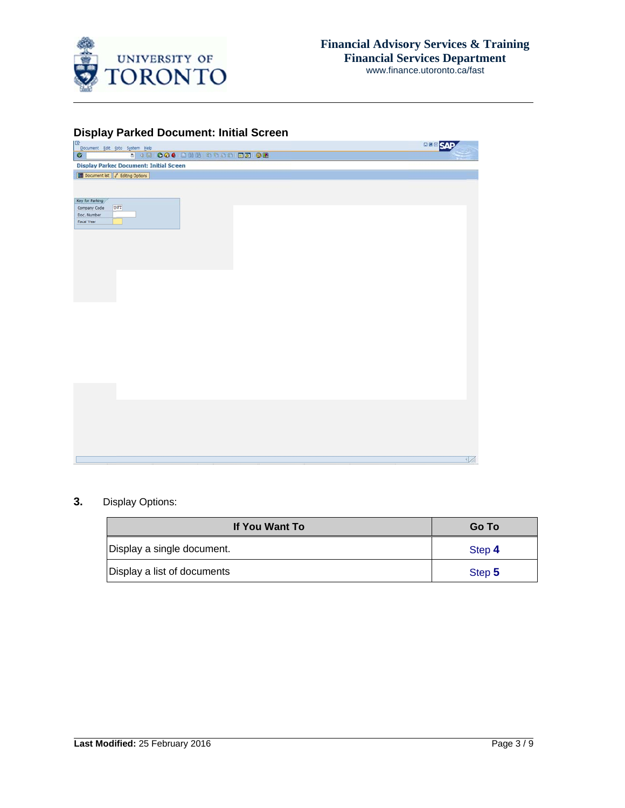

# **Display Parked Doc cument: Init tial Screen**

| F,<br>Document Edit Goto System Help           | <b>EBB</b> SAP |
|------------------------------------------------|----------------|
| <b>DO DE COO DE STOO DE OG</b><br>$\bullet$    |                |
| <b>Display Parked Document: Initial Screen</b> |                |
| Document list 2 Editing Options                |                |
|                                                |                |
|                                                |                |
| Key for Parking                                |                |
| UOFT<br>Company Code                           |                |
| Doc. Number                                    |                |
| <b>Fiscal Year</b>                             |                |
|                                                |                |
|                                                |                |
|                                                |                |
|                                                |                |
|                                                |                |
|                                                |                |
|                                                |                |
|                                                |                |
|                                                |                |
|                                                |                |
|                                                |                |
|                                                |                |
|                                                |                |
|                                                |                |
|                                                |                |
|                                                |                |
|                                                |                |
|                                                |                |
|                                                |                |
|                                                |                |
|                                                |                |
|                                                |                |
|                                                |                |
|                                                |                |
|                                                |                |
|                                                |                |
|                                                |                |
|                                                | $\sqrt{2}$     |
|                                                |                |

## **3.** Display Options:

| If You Want To              | <b>Go To</b> |
|-----------------------------|--------------|
| Display a single document.  | Step 4       |
| Display a list of documents | Step 5       |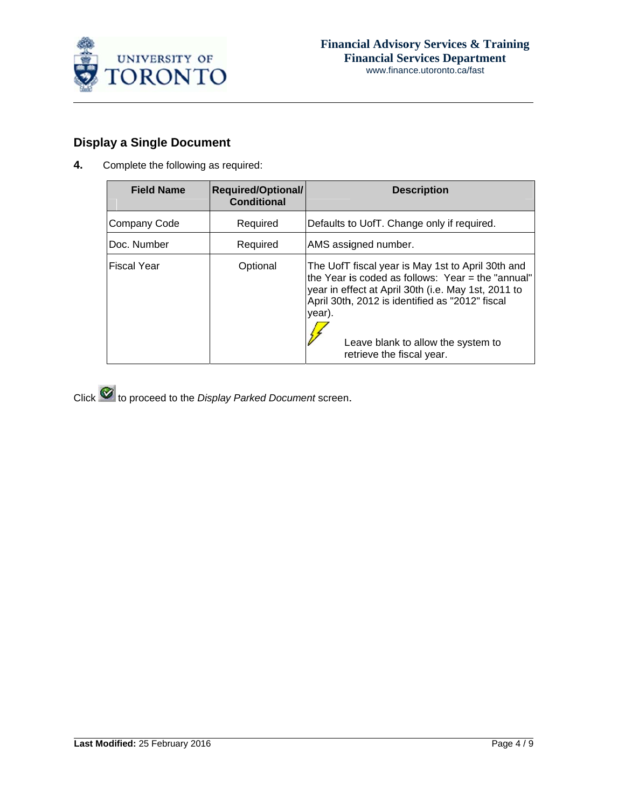

# **Display a Single Document**

Complete the following as required: 4.

| <b>Field Name</b>   | <b>Required/Optional/</b><br><b>Conditional</b> | <b>Description</b>                                                                                                                                                                                                                                                                            |
|---------------------|-------------------------------------------------|-----------------------------------------------------------------------------------------------------------------------------------------------------------------------------------------------------------------------------------------------------------------------------------------------|
| <b>Company Code</b> | Required                                        | Defaults to UofT. Change only if required.                                                                                                                                                                                                                                                    |
| Doc. Number         | Required                                        | AMS assigned number.                                                                                                                                                                                                                                                                          |
| <b>Fiscal Year</b>  | Optional                                        | The UofT fiscal year is May 1st to April 30th and<br>the Year is coded as follows: Year = the "annual"<br>year in effect at April 30th (i.e. May 1st, 2011 to<br>April 30th, 2012 is identified as "2012" fiscal<br>year).<br>Leave blank to allow the system to<br>retrieve the fiscal year. |

Click io proceed to the Display Parked Document screen.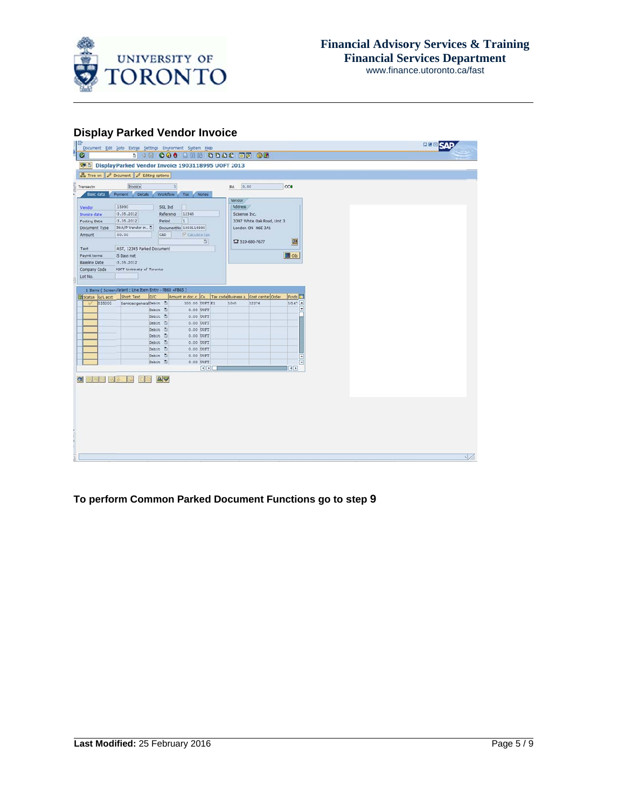

# **Display Parked Vendor Invoice**

|                      | Document Edit Soto Extras Settings Environment System Help                |                                          |                                     |                              |                                            |  | <b>ERESAP</b> |
|----------------------|---------------------------------------------------------------------------|------------------------------------------|-------------------------------------|------------------------------|--------------------------------------------|--|---------------|
| ø                    |                                                                           |                                          |                                     | <b>DO O O O DE STATED OF</b> |                                            |  |               |
|                      | <b>Will Display Parked Vendor Invoice 1903118995 UOFT 2013</b>            |                                          |                                     |                              |                                            |  |               |
|                      | <b>B</b> Tree on <b><i>O</i></b> Dicument <b><i>O</i></b> Editing options |                                          |                                     |                              |                                            |  |               |
| Transactn            | Invoice                                                                   | a.                                       |                                     | 84. 0.00                     | $\infty$                                   |  |               |
| <b>Basic data</b>    | Payment Details                                                           | Worldfow V                               | Tax Notes                           |                              |                                            |  |               |
|                      |                                                                           |                                          |                                     | <b>Vendor</b>                |                                            |  |               |
| Vendor               | 115990                                                                    | SGL Ind                                  |                                     | Address                      |                                            |  |               |
| Invoice date         | (3.05.2012)                                                               | 12345<br>Reference.                      |                                     | Scisense Inc.                |                                            |  |               |
| Posting Date         | (3.05.2012)                                                               | $ 1\rangle$<br>Period                    |                                     | 3397 White Oak Road, Unit 3  |                                            |  |               |
| Document Type        | <b>DI:A/P Vendor in D</b>                                                 | DocumentNo 1903118995                    |                                     | London ON N6E 3A1            |                                            |  |               |
| Amount               | 100.00                                                                    | CAD                                      | <b>Z</b> Calculate tax              |                              |                                            |  |               |
|                      |                                                                           |                                          | 面                                   | □ 519-680-7677               | 圖                                          |  |               |
| Text                 | FAST, 12345 Parked Document                                               |                                          |                                     |                              |                                            |  |               |
| Paymt terms          | 35 Days net                                                               |                                          |                                     |                              | <b>III</b> OIS                             |  |               |
| <b>Baseline Date</b> | (3.05.2012                                                                |                                          |                                     |                              |                                            |  |               |
| Company Code         | <b>UOFT University of Toronto</b>                                         |                                          |                                     |                              |                                            |  |               |
| Lot No.              |                                                                           |                                          |                                     |                              |                                            |  |               |
|                      |                                                                           | Debit D<br>Debit 0<br>Debit @            | 0.00 UOFI<br>0.00 DOFT<br>0.00 UOFT |                              |                                            |  |               |
|                      |                                                                           | Debit <sup>1</sup><br>Debit <sup>1</sup> | 0.00 DOFT<br>0.00 UOFT              |                              |                                            |  |               |
|                      |                                                                           | Debit 1<br>Debit <sup>1</sup>            | 0.00 UOFT<br>0.00 <b>COFT</b>       |                              |                                            |  |               |
|                      |                                                                           | Debit <sup>1</sup>                       | 0.00 UOFI                           |                              | ◾                                          |  |               |
|                      |                                                                           | Debit 0                                  | 0.00 UOFT<br>$\left  \cdot \right $ |                              | $\overline{\phantom{0}}$<br>$\overline{4}$ |  |               |

To perform Common Parked Document Functions go to step 9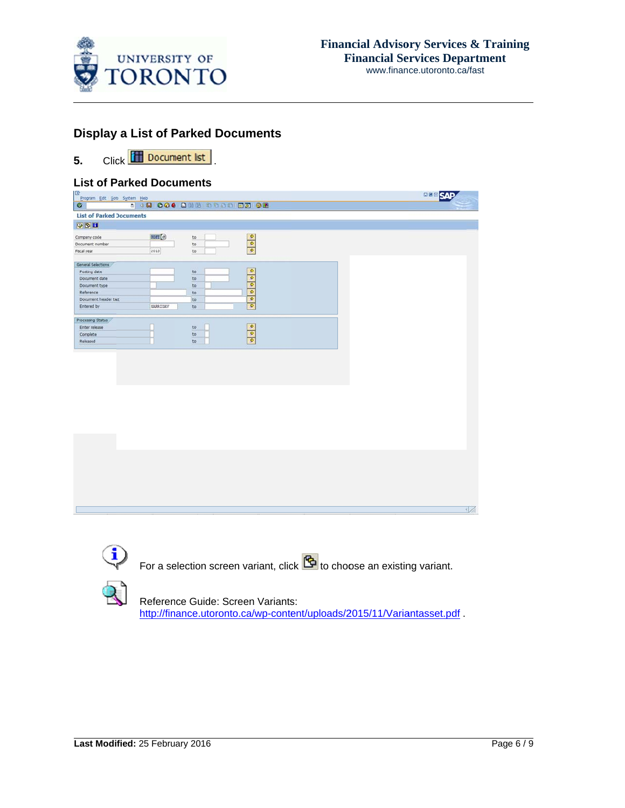

# **Display a List of Parked Documents**

Click Document list  $5.$ 

# **List of Parked Documents**

| Program Edit Goto System Help   |                 |               |                                                            | <b>DBB SAP</b> |
|---------------------------------|-----------------|---------------|------------------------------------------------------------|----------------|
| ø                               |                 |               |                                                            |                |
| <b>List of Parked Documents</b> |                 |               |                                                            |                |
| O 81                            |                 |               |                                                            |                |
| Company code                    | UOT(2)          | $\mathsf{to}$ |                                                            |                |
| Document number                 |                 | to            |                                                            |                |
| Fiscal year                     | 2013            | to            | $\frac{\theta}{\theta}$                                    |                |
| General Selections              |                 |               |                                                            |                |
| Posting date                    |                 | to            |                                                            |                |
| Document date                   |                 | to            |                                                            |                |
| Document type                   |                 | to            |                                                            |                |
| Reference                       |                 | to            |                                                            |                |
| Document header text            |                 | to            |                                                            |                |
| Entered by                      | <b>HARRIDAV</b> | to            | $\begin{array}{c c c c c c c c c} \hline c&c&c\end{array}$ |                |
|                                 |                 |               |                                                            |                |
| Processing Status               |                 |               |                                                            |                |
| Enter release                   |                 | to            |                                                            |                |
| Complete                        |                 | to:           | $\frac{\partial}{\partial \theta}$                         |                |
| Released                        |                 | to            |                                                            |                |
|                                 |                 |               |                                                            |                |
|                                 |                 |               |                                                            |                |
|                                 |                 |               |                                                            |                |
|                                 |                 |               |                                                            |                |
|                                 |                 |               |                                                            |                |
|                                 |                 |               |                                                            | $\sqrt{2}$     |



For a selection screen variant, click **b** to choose an existing variant.



Reference Guide: Screen Variants: http://finance.utoronto.ca/wp-content/uploads/2015/11/Variantasset.pdf.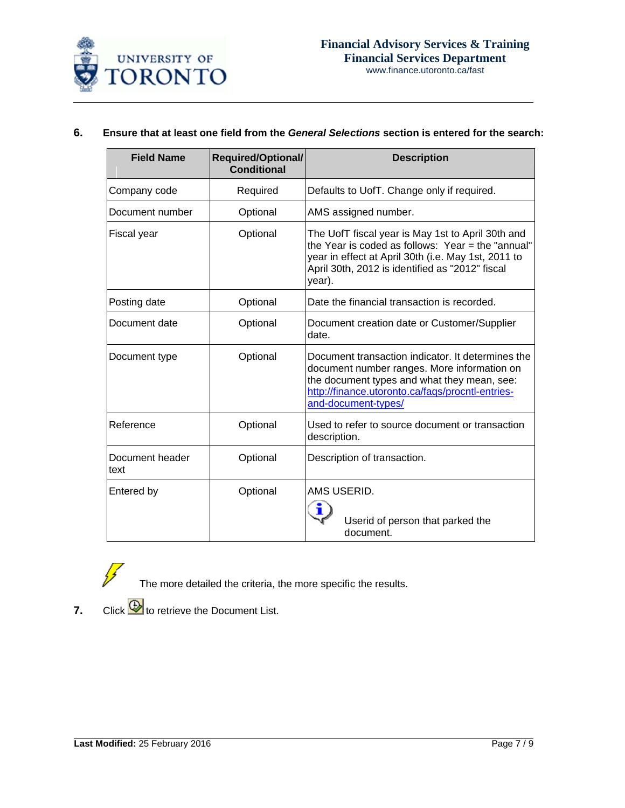

| <b>Field Name</b>       | <b>Required/Optional/</b><br><b>Conditional</b> | <b>Description</b>                                                                                                                                                                                                         |  |
|-------------------------|-------------------------------------------------|----------------------------------------------------------------------------------------------------------------------------------------------------------------------------------------------------------------------------|--|
| Company code            | Required                                        | Defaults to UofT. Change only if required.                                                                                                                                                                                 |  |
| Document number         | Optional                                        | AMS assigned number.                                                                                                                                                                                                       |  |
| <b>Fiscal year</b>      | Optional                                        | The UofT fiscal year is May 1st to April 30th and<br>the Year is coded as follows: Year = the "annual"<br>year in effect at April 30th (i.e. May 1st, 2011 to<br>April 30th, 2012 is identified as "2012" fiscal<br>year). |  |
| Posting date            | Optional                                        | Date the financial transaction is recorded.                                                                                                                                                                                |  |
| Document date           | Optional                                        | Document creation date or Customer/Supplier<br>date.                                                                                                                                                                       |  |
| Document type           | Optional                                        | Document transaction indicator. It determines the<br>document number ranges. More information on<br>the document types and what they mean, see:<br>http://finance.utoronto.ca/faqs/procntl-entries-<br>and-document-types/ |  |
| Reference               | Optional                                        | Used to refer to source document or transaction<br>description.                                                                                                                                                            |  |
| Document header<br>text | Optional                                        | Description of transaction.                                                                                                                                                                                                |  |
| Entered by              | Optional                                        | AMS USERID.<br>Userid of person that parked the<br>document.                                                                                                                                                               |  |

#### 6. Ensure that at least one field from the General Selections section is entered for the search:



The more detailed the criteria, the more specific the results.

7. Click  $\bigoplus$  to retrieve the Document List.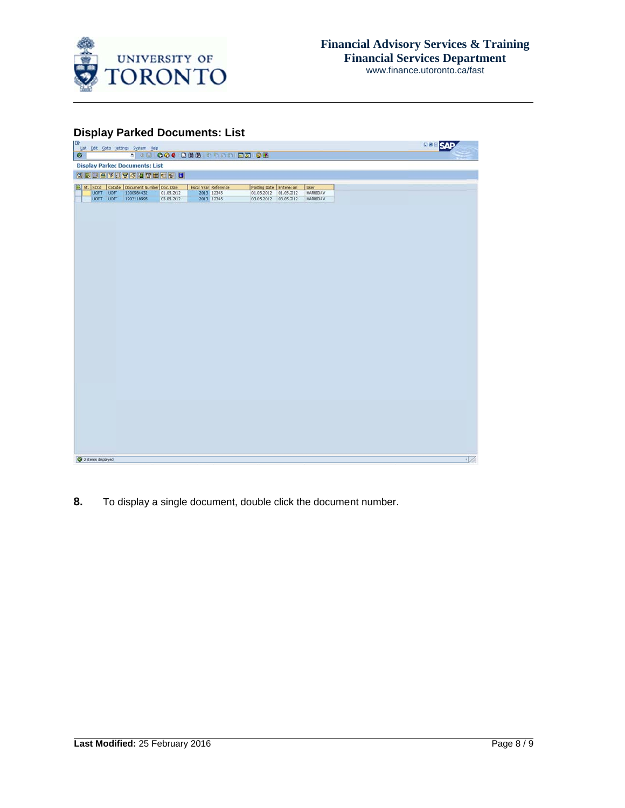

# **Display Parked Documents: List**

| i Le<br>List Edit Goto Settings System Help                                                           | <b>ERE</b> SAP |
|-------------------------------------------------------------------------------------------------------|----------------|
| $\bullet$                                                                                             |                |
| <b>Display Parked Documents: List</b>                                                                 |                |
| <b>CECAY DVADHED B</b>                                                                                |                |
| Fiscal Year Reference<br>St. SCCd CoCode Document Number Doc. Date<br>Posting Date Entered on<br>User |                |
| 2013 12345<br>UOFT UOFT<br>1000984432<br>01.05.2012<br>01.05.2012 01.05.2012<br><b>HARRIDAV</b>       |                |
| UOFT UOFT 1903118995<br>2013 12345<br>03.05.2012<br>03.05.2012 03.05.2012<br>HARRIDAV                 |                |
|                                                                                                       |                |
|                                                                                                       |                |
|                                                                                                       |                |
|                                                                                                       |                |
|                                                                                                       |                |
|                                                                                                       |                |
|                                                                                                       |                |
|                                                                                                       |                |
|                                                                                                       |                |
|                                                                                                       |                |
|                                                                                                       |                |
|                                                                                                       |                |
|                                                                                                       |                |
|                                                                                                       |                |
|                                                                                                       |                |
|                                                                                                       |                |
|                                                                                                       |                |
|                                                                                                       |                |
|                                                                                                       |                |
|                                                                                                       |                |
|                                                                                                       |                |
|                                                                                                       |                |
|                                                                                                       |                |
|                                                                                                       |                |
|                                                                                                       |                |
|                                                                                                       |                |
|                                                                                                       |                |
|                                                                                                       |                |
|                                                                                                       |                |
|                                                                                                       |                |
| 2 tems displayed                                                                                      | $\sqrt{2}$     |

8. To display a single document, double click the document number.